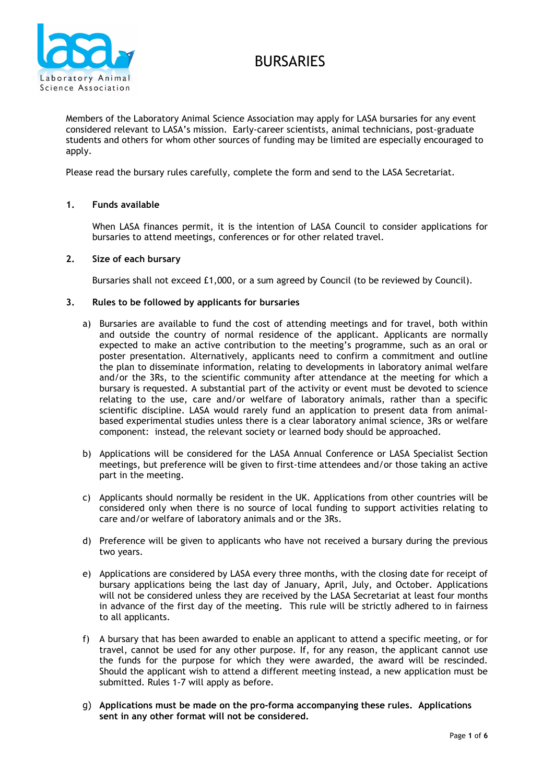



Members of the Laboratory Animal Science Association may apply for LASA bursaries for any event considered relevant to LASA's mission. Early-career scientists, animal technicians, post-graduate students and others for whom other sources of funding may be limited are especially encouraged to apply.

Please read the bursary rules carefully, complete the form and send to the LASA Secretariat.

## **1. Funds available**

When LASA finances permit, it is the intention of LASA Council to consider applications for bursaries to attend meetings, conferences or for other related travel.

### **2. Size of each bursary**

Bursaries shall not exceed £1,000, or a sum agreed by Council (to be reviewed by Council).

#### **3. Rules to be followed by applicants for bursaries**

- a) Bursaries are available to fund the cost of attending meetings and for travel, both within and outside the country of normal residence of the applicant. Applicants are normally expected to make an active contribution to the meeting's programme, such as an oral or poster presentation. Alternatively, applicants need to confirm a commitment and outline the plan to disseminate information, relating to developments in laboratory animal welfare and/or the 3Rs, to the scientific community after attendance at the meeting for which a bursary is requested. A substantial part of the activity or event must be devoted to science relating to the use, care and/or welfare of laboratory animals, rather than a specific scientific discipline. LASA would rarely fund an application to present data from animalbased experimental studies unless there is a clear laboratory animal science, 3Rs or welfare component: instead, the relevant society or learned body should be approached.
- b) Applications will be considered for the LASA Annual Conference or LASA Specialist Section meetings, but preference will be given to first-time attendees and/or those taking an active part in the meeting.
- c) Applicants should normally be resident in the UK. Applications from other countries will be considered only when there is no source of local funding to support activities relating to care and/or welfare of laboratory animals and or the 3Rs.
- d) Preference will be given to applicants who have not received a bursary during the previous two years.
- e) Applications are considered by LASA every three months, with the closing date for receipt of bursary applications being the last day of January, April, July, and October. Applications will not be considered unless they are received by the LASA Secretariat at least four months in advance of the first day of the meeting. This rule will be strictly adhered to in fairness to all applicants.
- f) A bursary that has been awarded to enable an applicant to attend a specific meeting, or for travel, cannot be used for any other purpose. If, for any reason, the applicant cannot use the funds for the purpose for which they were awarded, the award will be rescinded. Should the applicant wish to attend a different meeting instead, a new application must be submitted. Rules 1-7 will apply as before.
- g) **Applications must be made on the pro-forma accompanying these rules. Applications sent in any other format will not be considered.**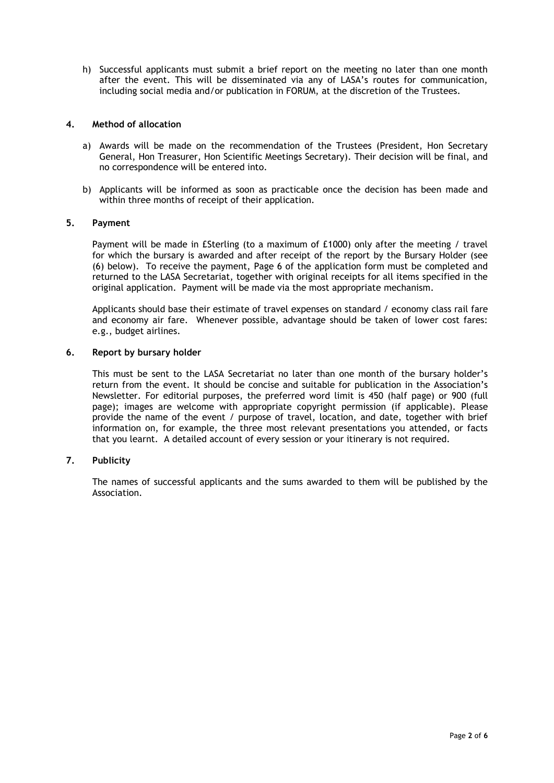h) Successful applicants must submit a brief report on the meeting no later than one month after the event. This will be disseminated via any of LASA's routes for communication, including social media and/or publication in FORUM, at the discretion of the Trustees.

## **4. Method of allocation**

- a) Awards will be made on the recommendation of the Trustees (President, Hon Secretary General, Hon Treasurer, Hon Scientific Meetings Secretary). Their decision will be final, and no correspondence will be entered into.
- b) Applicants will be informed as soon as practicable once the decision has been made and within three months of receipt of their application.

## **5. Payment**

Payment will be made in £Sterling (to a maximum of £1000) only after the meeting / travel for which the bursary is awarded and after receipt of the report by the Bursary Holder (see (6) below). To receive the payment, Page 6 of the application form must be completed and returned to the LASA Secretariat, together with original receipts for all items specified in the original application. Payment will be made via the most appropriate mechanism.

Applicants should base their estimate of travel expenses on standard / economy class rail fare and economy air fare. Whenever possible, advantage should be taken of lower cost fares: e.g., budget airlines.

### **6. Report by bursary holder**

This must be sent to the LASA Secretariat no later than one month of the bursary holder's return from the event. It should be concise and suitable for publication in the Association's Newsletter. For editorial purposes, the preferred word limit is 450 (half page) or 900 (full page); images are welcome with appropriate copyright permission (if applicable). Please provide the name of the event / purpose of travel, location, and date, together with brief information on, for example, the three most relevant presentations you attended, or facts that you learnt. A detailed account of every session or your itinerary is not required.

## **7. Publicity**

The names of successful applicants and the sums awarded to them will be published by the Association.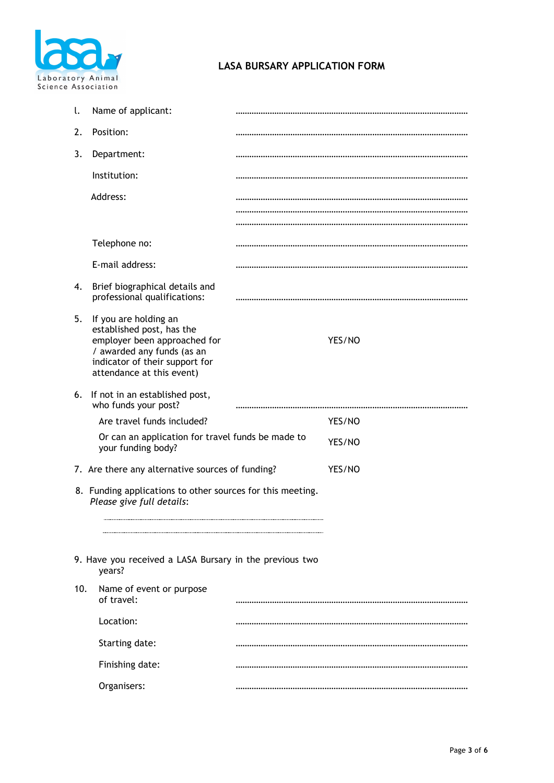

# **LASA BURSARY APPLICATION FORM**

| l.                                                                                      | Name of applicant:                                                                                                                                                              |  |        |
|-----------------------------------------------------------------------------------------|---------------------------------------------------------------------------------------------------------------------------------------------------------------------------------|--|--------|
| 2.                                                                                      | Position:                                                                                                                                                                       |  |        |
| 3.                                                                                      | Department:                                                                                                                                                                     |  |        |
|                                                                                         | Institution:                                                                                                                                                                    |  |        |
|                                                                                         | Address:                                                                                                                                                                        |  |        |
|                                                                                         |                                                                                                                                                                                 |  |        |
|                                                                                         | Telephone no:                                                                                                                                                                   |  |        |
|                                                                                         | E-mail address:                                                                                                                                                                 |  |        |
| 4.                                                                                      | Brief biographical details and<br>professional qualifications:                                                                                                                  |  |        |
| 5.                                                                                      | If you are holding an<br>established post, has the<br>employer been approached for<br>/ awarded any funds (as an<br>indicator of their support for<br>attendance at this event) |  | YES/NO |
| 6.                                                                                      | If not in an established post,<br>who funds your post?                                                                                                                          |  |        |
|                                                                                         | Are travel funds included?                                                                                                                                                      |  | YES/NO |
|                                                                                         | Or can an application for travel funds be made to<br>your funding body?                                                                                                         |  | YES/NO |
| 7. Are there any alternative sources of funding?                                        |                                                                                                                                                                                 |  | YES/NO |
| 8. Funding applications to other sources for this meeting.<br>Please give full details: |                                                                                                                                                                                 |  |        |
|                                                                                         | 9. Have you received a LASA Bursary in the previous two<br>years?                                                                                                               |  |        |
| 10.                                                                                     | Name of event or purpose<br>of travel:                                                                                                                                          |  |        |
|                                                                                         | Location:                                                                                                                                                                       |  |        |
|                                                                                         | Starting date:                                                                                                                                                                  |  |        |
| Finishing date:                                                                         |                                                                                                                                                                                 |  |        |
| Organisers:                                                                             |                                                                                                                                                                                 |  |        |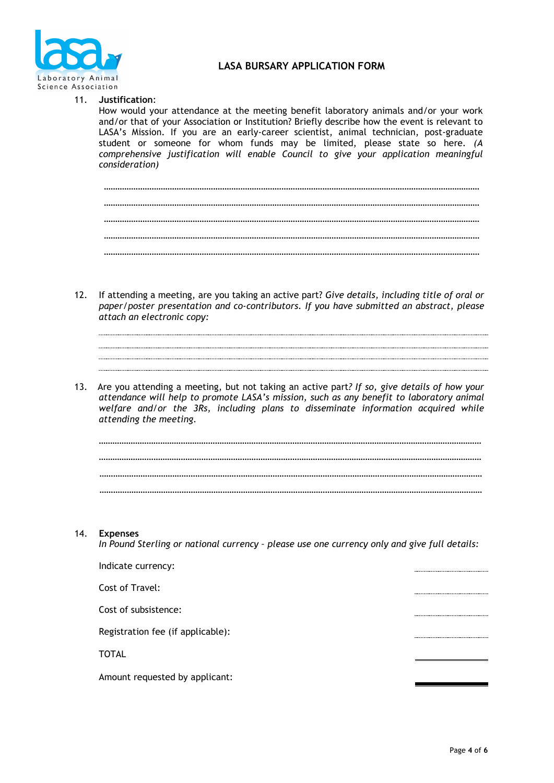

## **LASA BURSARY APPLICATION FORM**

## 11. **Justification**:

How would your attendance at the meeting benefit laboratory animals and/or your work and/or that of your Association or Institution? Briefly describe how the event is relevant to LASA's Mission. If you are an early-career scientist, animal technician, post-graduate student or someone for whom funds may be limited, please state so here. *(A comprehensive justification will enable Council to give your application meaningful consideration)*

- 12. If attending a meeting, are you taking an active part? *Give details, including title of oral or paper/poster presentation and co-contributors. If you have submitted an abstract, please attach an electronic copy:*
- 13. Are you attending a meeting, but not taking an active part*? If so, give details of how your attendance will help to promote LASA's mission, such as any benefit to laboratory animal welfare and/or the 3Rs, including plans to disseminate information acquired while attending the meeting.*



14. **Expenses** 

*In Pound Sterling or national currency – please use one currency only and give full details:* 

| Indicate currency:                |  |
|-----------------------------------|--|
| Cost of Travel:                   |  |
| Cost of subsistence:              |  |
| Registration fee (if applicable): |  |
| <b>TOTAL</b>                      |  |
| Amount requested by applicant:    |  |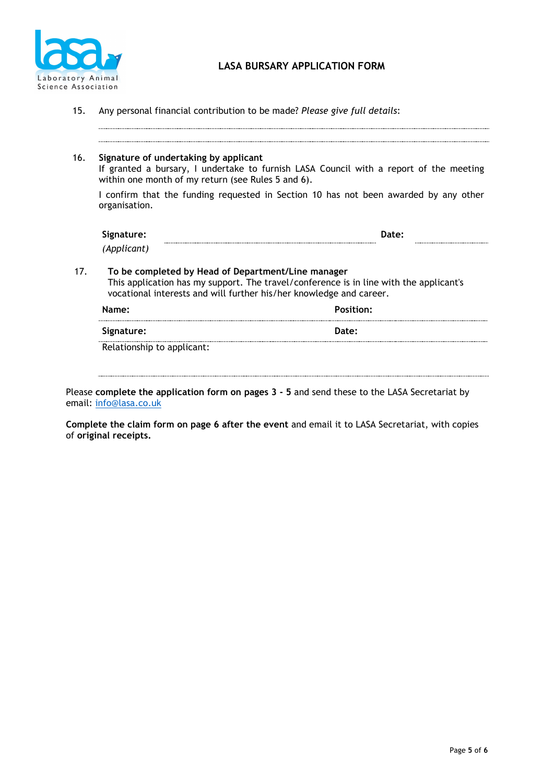

| 16. | Signature of undertaking by applicant<br>within one month of my return (see Rules 5 and 6). | If granted a bursary, I undertake to furnish LASA Council with a report of the meeting                                                                        |
|-----|---------------------------------------------------------------------------------------------|---------------------------------------------------------------------------------------------------------------------------------------------------------------|
|     | organisation.                                                                               | I confirm that the funding requested in Section 10 has not been awarded by any other                                                                          |
|     | Signature:                                                                                  | Date:                                                                                                                                                         |
|     | (Applicant)                                                                                 |                                                                                                                                                               |
|     |                                                                                             | To be completed by Head of Department/Line manager                                                                                                            |
| 17. |                                                                                             | This application has my support. The travel/conference is in line with the applicant's<br>vocational interests and will further his/her knowledge and career. |
|     | Name:                                                                                       | <b>Position:</b>                                                                                                                                              |

15. Any personal financial contribution to be made? *Please give full details*:

Please **complete the application form on pages 3 - 5** and send these to the LASA Secretariat by email: [info@lasa.co.uk](mailto:info@lasa.co.uk) 

**Complete the claim form on page 6 after the event** and email it to LASA Secretariat, with copies of **original receipts.**